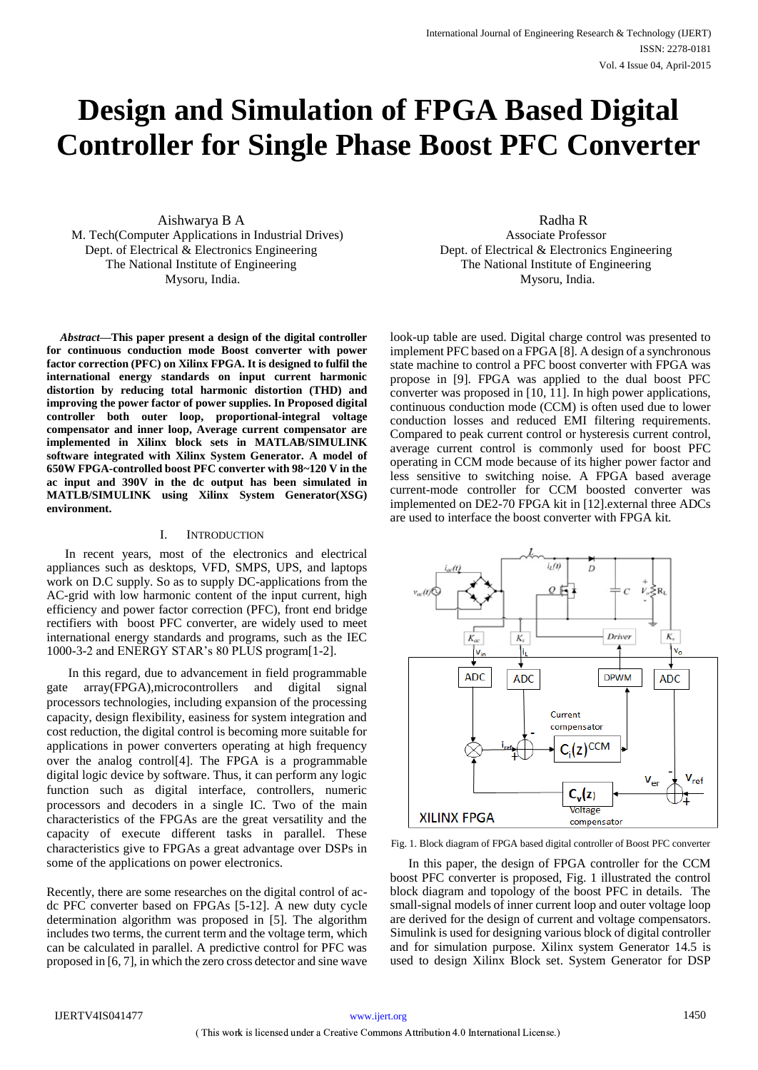# **Design and Simulation of FPGA Based Digital Controller for Single Phase Boost PFC Converter**

Aishwarya B A M. Tech(Computer Applications in Industrial Drives) Dept. of Electrical & Electronics Engineering The National Institute of Engineering Mysoru, India.

*Abstract***—This paper present a design of the digital controller for continuous conduction mode Boost converter with power factor correction (PFC) on Xilinx FPGA. It is designed to fulfil the international energy standards on input current harmonic distortion by reducing total harmonic distortion (THD) and improving the power factor of power supplies. In Proposed digital controller both outer loop, proportional-integral voltage compensator and inner loop, Average current compensator are implemented in Xilinx block sets in MATLAB/SIMULINK software integrated with Xilinx System Generator. A model of 650W FPGA-controlled boost PFC converter with 98~120 V in the ac input and 390V in the dc output has been simulated in MATLB/SIMULINK using Xilinx System Generator(XSG) environment.** 

# I. INTRODUCTION

In recent years, most of the electronics and electrical appliances such as desktops, VFD, SMPS, UPS, and laptops work on D.C supply. So as to supply DC-applications from the AC-grid with low harmonic content of the input current, high efficiency and power factor correction (PFC), front end bridge rectifiers with boost PFC converter, are widely used to meet international energy standards and programs, such as the IEC 1000-3-2 and ENERGY STAR's 80 PLUS program[1-2].

In this regard, due to advancement in field programmable gate array(FPGA),microcontrollers and digital signal processors technologies, including expansion of the processing capacity, design flexibility, easiness for system integration and cost reduction, the digital control is becoming more suitable for applications in power converters operating at high frequency over the analog control[4]. The FPGA is a programmable digital logic device by software. Thus, it can perform any logic function such as digital interface, controllers, numeric processors and decoders in a single IC. Two of the main characteristics of the FPGAs are the great versatility and the capacity of execute different tasks in parallel. These characteristics give to FPGAs a great advantage over DSPs in some of the applications on power electronics.

Recently, there are some researches on the digital control of acdc PFC converter based on FPGAs [5-12]. A new duty cycle determination algorithm was proposed in [5]. The algorithm includes two terms, the current term and the voltage term, which can be calculated in parallel. A predictive control for PFC was proposed in [6, 7], in which the zero cross detector and sine wave

Radha R Associate Professor Dept. of Electrical & Electronics Engineering The National Institute of Engineering Mysoru, India.

look-up table are used. Digital charge control was presented to implement PFC based on a FPGA [8]. A design of a synchronous state machine to control a PFC boost converter with FPGA was propose in [9]. FPGA was applied to the dual boost PFC converter was proposed in [10, 11]. In high power applications, continuous conduction mode (CCM) is often used due to lower conduction losses and reduced EMI filtering requirements. Compared to peak current control or hysteresis current control, average current control is commonly used for boost PFC operating in CCM mode because of its higher power factor and less sensitive to switching noise. A FPGA based average current-mode controller for CCM boosted converter was implemented on DE2-70 FPGA kit in [12].external three ADCs are used to interface the boost converter with FPGA kit.



Fig. 1. Block diagram of FPGA based digital controller of Boost PFC converter

In this paper, the design of FPGA controller for the CCM boost PFC converter is proposed, Fig. 1 illustrated the control block diagram and topology of the boost PFC in details. The small-signal models of inner current loop and outer voltage loop are derived for the design of current and voltage compensators. Simulink is used for designing various block of digital controller and for simulation purpose. Xilinx system Generator 14.5 is used to design Xilinx Block set. System Generator for DSP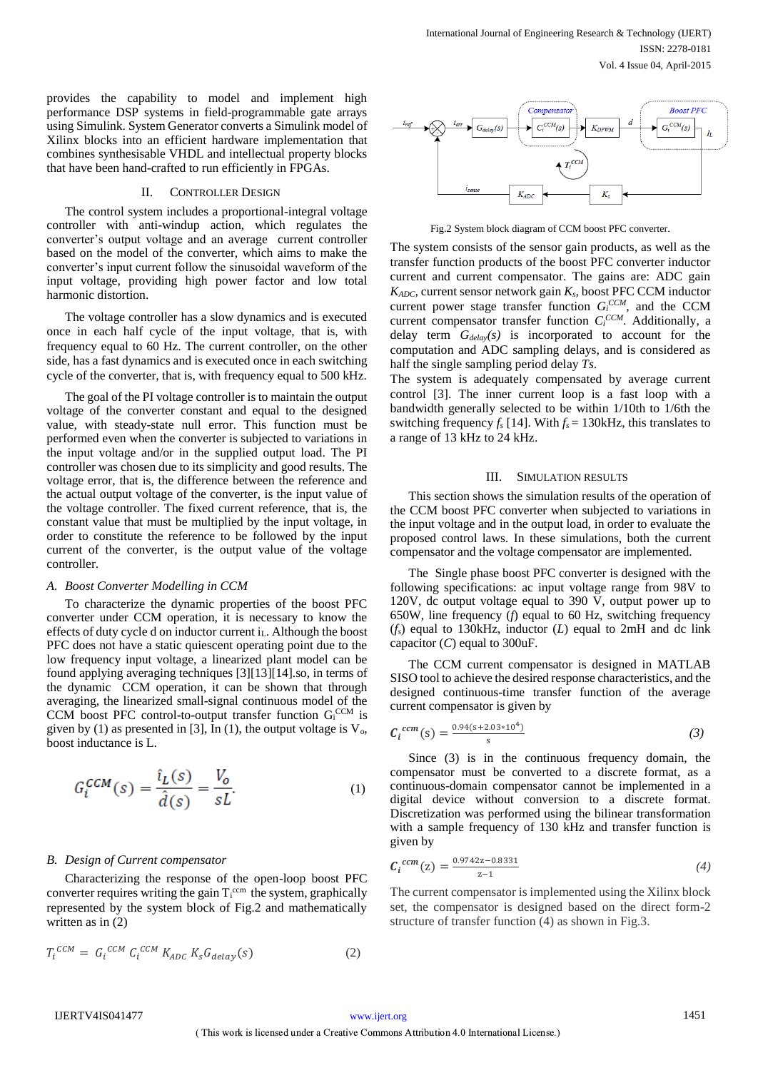provides the capability to model and implement high performance DSP systems in field-programmable gate arrays using Simulink. System Generator converts a Simulink model of Xilinx blocks into an efficient hardware implementation that combines synthesisable VHDL and intellectual property blocks that have been hand-crafted to run efficiently in FPGAs.

## II. CONTROLLER DESIGN

The control system includes a proportional-integral voltage controller with anti-windup action, which regulates the converter's output voltage and an average current controller based on the model of the converter, which aims to make the converter's input current follow the sinusoidal waveform of the input voltage, providing high power factor and low total harmonic distortion.

The voltage controller has a slow dynamics and is executed once in each half cycle of the input voltage, that is, with frequency equal to 60 Hz. The current controller, on the other side, has a fast dynamics and is executed once in each switching cycle of the converter, that is, with frequency equal to 500 kHz.

The goal of the PI voltage controller is to maintain the output voltage of the converter constant and equal to the designed value, with steady-state null error. This function must be performed even when the converter is subjected to variations in the input voltage and/or in the supplied output load. The PI controller was chosen due to its simplicity and good results. The voltage error, that is, the difference between the reference and the actual output voltage of the converter, is the input value of the voltage controller. The fixed current reference, that is, the constant value that must be multiplied by the input voltage, in order to constitute the reference to be followed by the input current of the converter, is the output value of the voltage controller.

#### *A. Boost Converter Modelling in CCM*

To characterize the dynamic properties of the boost PFC converter under CCM operation, it is necessary to know the effects of duty cycle d on inductor current i<sub>L</sub>. Although the boost PFC does not have a static quiescent operating point due to the low frequency input voltage, a linearized plant model can be found applying averaging techniques [3][13][14].so, in terms of the dynamic CCM operation, it can be shown that through averaging, the linearized small-signal continuous model of the CCM boost PFC control-to-output transfer function  $G_i^{CCM}$  is given by (1) as presented in [3], In (1), the output voltage is  $V_0$ , boost inductance is L.

$$
G_i^{CCM}(s) = \frac{\hat{\iota}_L(s)}{\hat{d}(s)} = \frac{V_o}{sL}.
$$
 (1)

## *B. Design of Current compensator*

Characterizing the response of the open-loop boost PFC converter requires writing the gain  $T_i^{ccm}$  the system, graphically represented by the system block of Fig.2 and mathematically written as in  $(2)$ 

$$
T_i^{CCM} = G_i^{CCM} C_i^{CCM} K_{ADC} K_S G_{delay}(s)
$$
 (2)



Fig.2 System block diagram of CCM boost PFC converter.

The system consists of the sensor gain products, as well as the transfer function products of the boost PFC converter inductor current and current compensator. The gains are: ADC gain *KADC*, current sensor network gain *Ks,* boost PFC CCM inductor current power stage transfer function *G<sup>i</sup> CCM,* and the CCM current compensator transfer function  $C_i^{CCM}$ . Additionally, a delay term *Gdelay(s)* is incorporated to account for the computation and ADC sampling delays, and is considered as half the single sampling period delay *Ts*.

The system is adequately compensated by average current control [3]. The inner current loop is a fast loop with a bandwidth generally selected to be within 1/10th to 1/6th the switching frequency  $f_s$  [14]. With  $f_s = 130$ kHz, this translates to a range of 13 kHz to 24 kHz.

## III. SIMULATION RESULTS

This section shows the simulation results of the operation of the CCM boost PFC converter when subjected to variations in the input voltage and in the output load, in order to evaluate the proposed control laws. In these simulations, both the current compensator and the voltage compensator are implemented.

The Single phase boost PFC converter is designed with the following specifications: ac input voltage range from 98V to 120V, dc output voltage equal to 390 V, output power up to 650W, line frequency (*f*) equal to 60 Hz, switching frequency (*fs*) equal to 130kHz, inductor (*L*) equal to 2mH and dc link capacitor (*C*) equal to 300uF.

The CCM current compensator is designed in MATLAB SISO tool to achieve the desired response characteristics, and the designed continuous-time transfer function of the average current compensator is given by

$$
C_i^{cm}(s) = \frac{0.94(s+2.03*10^4)}{s} \tag{3}
$$

Since (3) is in the continuous frequency domain, the compensator must be converted to a discrete format, as a continuous-domain compensator cannot be implemented in a digital device without conversion to a discrete format. Discretization was performed using the bilinear transformation with a sample frequency of 130 kHz and transfer function is given by

$$
C_i^{cm}(z) = \frac{0.9742z - 0.8331}{z - 1}
$$
 (4)

The current compensator is implemented using the Xilinx block set, the compensator is designed based on the direct form-2 structure of transfer function (4) as shown in Fig.3.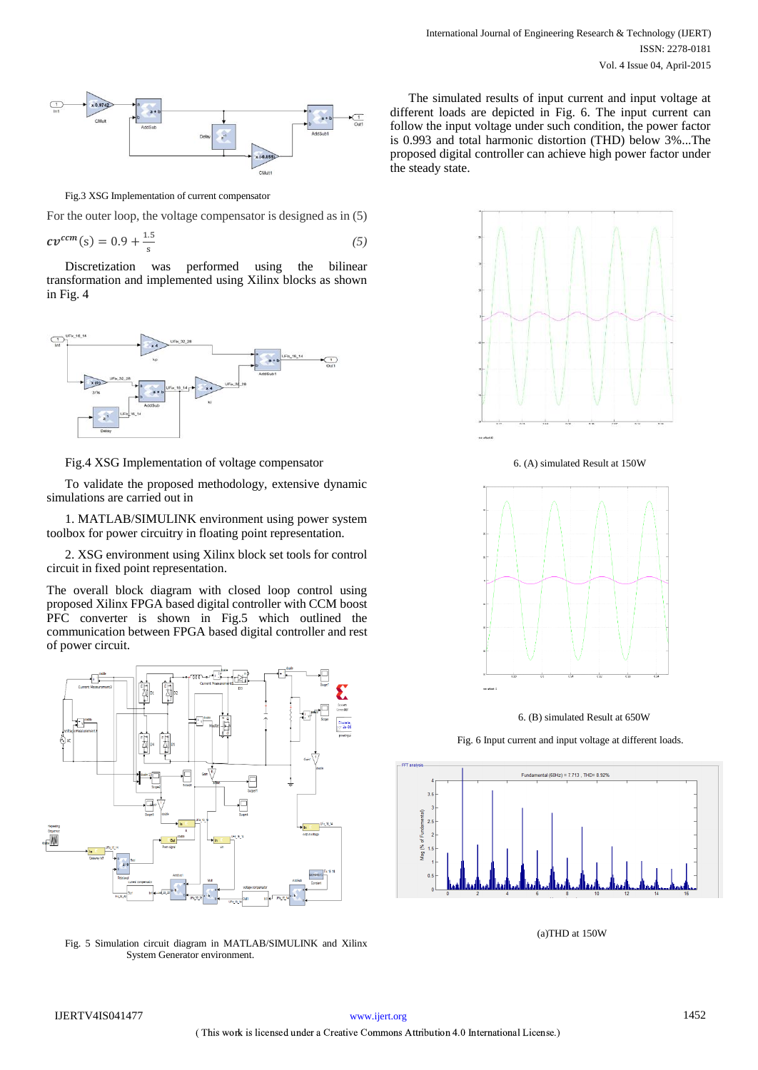

Fig.3 XSG Implementation of current compensator

For the outer loop, the voltage compensator is designed as in (5)

$$
cv^{ccm}(s) = 0.9 + \frac{1.5}{s}
$$
 (5)

Discretization was performed using the bilinear transformation and implemented using Xilinx blocks as shown in Fig. 4



Fig.4 XSG Implementation of voltage compensator

To validate the proposed methodology, extensive dynamic simulations are carried out in

1. MATLAB/SIMULINK environment using power system toolbox for power circuitry in floating point representation.

2. XSG environment using Xilinx block set tools for control circuit in fixed point representation.

The overall block diagram with closed loop control using proposed Xilinx FPGA based digital controller with CCM boost PFC converter is shown in Fig.5 which outlined the communication between FPGA based digital controller and rest of power circuit.



Fig. 5 Simulation circuit diagram in MATLAB/SIMULINK and Xilinx System Generator environment.

The simulated results of input current and input voltage at different loads are depicted in Fig. 6. The input current can follow the input voltage under such condition, the power factor is 0.993 and total harmonic distortion (THD) below 3%...The proposed digital controller can achieve high power factor under the steady state.



6. (A) simulated Result at 150W



6. (B) simulated Result at 650W

Fig. 6 Input current and input voltage at different loads.



(a)THD at 150W